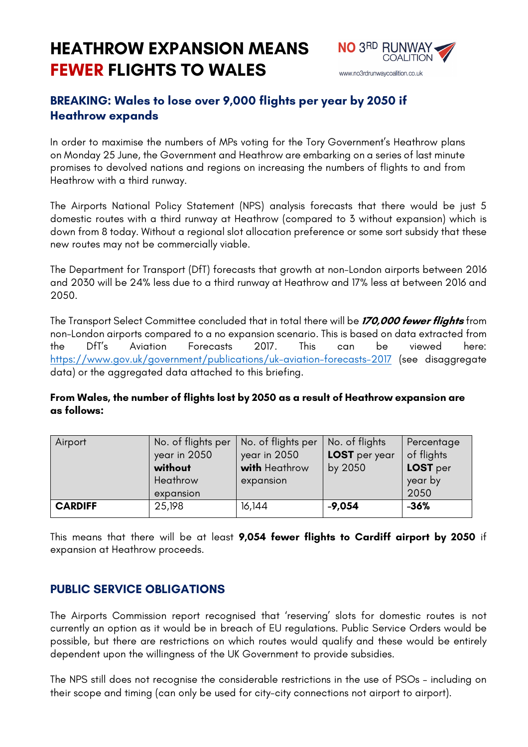# **HEATHROW EXPANSION MEANS FEWER FLIGHTS TO WALES**



## **BREAKING: Wales to lose over 9,000 flights per year by 2050 if Heathrow expands**

In order to maximise the numbers of MPs voting for the Tory Government's Heathrow plans on Monday 25 June, the Government and Heathrow are embarking on a series of last minute promises to devolved nations and regions on increasing the numbers of flights to and from Heathrow with a third runway.

The Airports National Policy Statement (NPS) analysis forecasts that there would be just 5 domestic routes with a third runway at Heathrow (compared to 3 without expansion) which is down from 8 today. Without a regional slot allocation preference or some sort subsidy that these new routes may not be commercially viable.

The Department for Transport (DfT) forecasts that growth at non-London airports between 2016 and 2030 will be 24% less due to a third runway at Heathrow and 17% less at between 2016 and 2050.

The Transport Select Committee concluded that in total there will be **170,000 fewer flights** from non-London airports compared to a no expansion scenario. This is based on data extracted from the DfT's Aviation Forecasts 2017. This can be viewed here: https://www.gov.uk/government/publications/uk-aviation-forecasts-2017 (see disaggregate data) or the aggregated data attached to this briefing.

#### **From Wales, the number of flights lost by 2050 as a result of Heathrow expansion are as follows:**

| Airport        | No. of flights per<br>year in 2050<br>without<br>Heathrow | No. of flights per<br>year in 2050<br>with Heathrow<br>expansion | No. of flights<br>LOST per year<br>by 2050 | Percentage<br>of flights<br>LOST per<br>year by |
|----------------|-----------------------------------------------------------|------------------------------------------------------------------|--------------------------------------------|-------------------------------------------------|
|                | expansion                                                 |                                                                  |                                            | 2050                                            |
| <b>CARDIFF</b> | 25,198                                                    | 16,144                                                           | $-9,054$                                   | $-36%$                                          |

This means that there will be at least **9,054 fewer flights to Cardiff airport by 2050** if expansion at Heathrow proceeds.

## **PUBLIC SERVICE OBLIGATIONS**

The Airports Commission report recognised that 'reserving' slots for domestic routes is not currently an option as it would be in breach of EU regulations. Public Service Orders would be possible, but there are restrictions on which routes would qualify and these would be entirely dependent upon the willingness of the UK Government to provide subsidies.

The NPS still does not recognise the considerable restrictions in the use of PSOs – including on their scope and timing (can only be used for city-city connections not airport to airport).